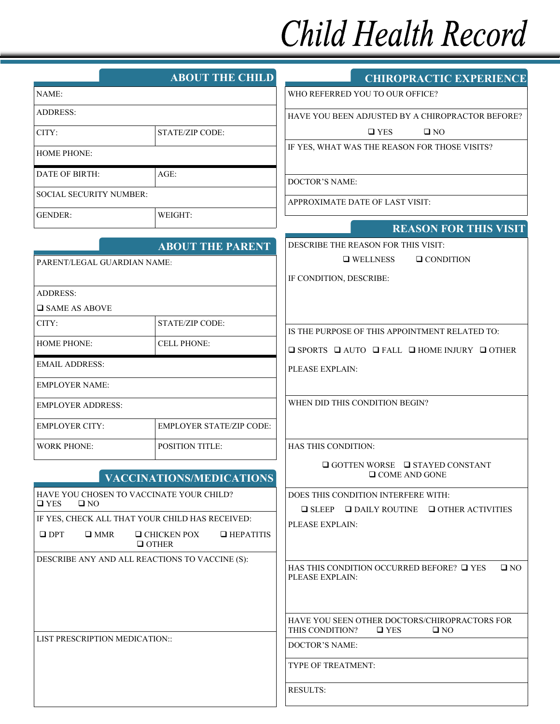## Child Health Record

|                                                                           | <b>ABOUT THE CHILD</b>                                 | <b>CHIROPRACTIC EXPERIENCE</b>                                                                    |
|---------------------------------------------------------------------------|--------------------------------------------------------|---------------------------------------------------------------------------------------------------|
| NAME:                                                                     |                                                        | WHO REFERRED YOU TO OUR OFFICE?                                                                   |
| <b>ADDRESS:</b>                                                           |                                                        | HAVE YOU BEEN ADJUSTED BY A CHIROPRACTOR BEFORE?                                                  |
| CITY:                                                                     | <b>STATE/ZIP CODE:</b>                                 | $\square$ NO<br>$\Box$ YES                                                                        |
| <b>HOME PHONE:</b>                                                        |                                                        | IF YES, WHAT WAS THE REASON FOR THOSE VISITS?                                                     |
| DATE OF BIRTH:                                                            | AGE:                                                   |                                                                                                   |
| SOCIAL SECURITY NUMBER:                                                   |                                                        | DOCTOR'S NAME:                                                                                    |
| <b>GENDER:</b>                                                            | WEIGHT:                                                | APPROXIMATE DATE OF LAST VISIT:                                                                   |
|                                                                           |                                                        | <b>REASON FOR THIS VISIT</b>                                                                      |
|                                                                           | <b>ABOUT THE PARENT</b>                                | DESCRIBE THE REASON FOR THIS VISIT:                                                               |
| PARENT/LEGAL GUARDIAN NAME:                                               |                                                        | <b>Q</b> WELLNESS<br>$\Box$ CONDITION                                                             |
|                                                                           |                                                        | IF CONDITION, DESCRIBE:                                                                           |
| <b>ADDRESS:</b>                                                           |                                                        |                                                                                                   |
| <b>O</b> SAME AS ABOVE<br>CITY:                                           | STATE/ZIP CODE:                                        |                                                                                                   |
|                                                                           |                                                        | IS THE PURPOSE OF THIS APPOINTMENT RELATED TO:                                                    |
| <b>HOME PHONE:</b>                                                        | <b>CELL PHONE:</b>                                     | $\Box$ SPORTS $\Box$ AUTO $\Box$ FALL $\Box$ HOME INJURY $\Box$ OTHER                             |
| <b>EMAIL ADDRESS:</b>                                                     |                                                        | PLEASE EXPLAIN:                                                                                   |
| <b>EMPLOYER NAME:</b>                                                     |                                                        |                                                                                                   |
| <b>EMPLOYER ADDRESS:</b>                                                  |                                                        | WHEN DID THIS CONDITION BEGIN?                                                                    |
| <b>EMPLOYER CITY:</b>                                                     | <b>EMPLOYER STATE/ZIP CODE:</b>                        |                                                                                                   |
| <b>WORK PHONE:</b>                                                        | POSITION TITLE:                                        | <b>HAS THIS CONDITION:</b>                                                                        |
|                                                                           | <b>VACCINATIONS/MEDICATIONS</b>                        | $\Box$ GOTTEN WORSE $\Box$ STAYED CONSTANT<br>$\Box$ COME AND GONE                                |
| HAVE YOU CHOSEN TO VACCINATE YOUR CHILD?<br>$\square$ NO<br>$\square$ YES |                                                        | DOES THIS CONDITION INTERFERE WITH:                                                               |
| IF YES, CHECK ALL THAT YOUR CHILD HAS RECEIVED:                           |                                                        | $\Box$ SLEEP $\Box$ DAILY ROUTINE $\Box$ OTHER ACTIVITIES                                         |
| $\square$ DPT<br>$\Box$ MMR                                               | $\Box$ CHICKEN POX<br>$\Box$ HEPATITIS<br>$\Box$ OTHER | PLEASE EXPLAIN:                                                                                   |
| DESCRIBE ANY AND ALL REACTIONS TO VACCINE (S):                            |                                                        | HAS THIS CONDITION OCCURRED BEFORE? $\Box$ YES<br>$\square$ NO                                    |
|                                                                           |                                                        | PLEASE EXPLAIN:                                                                                   |
|                                                                           |                                                        | HAVE YOU SEEN OTHER DOCTORS/CHIROPRACTORS FOR<br>THIS CONDITION?<br>$\square$ YES<br>$\square$ NO |
| LIST PRESCRIPTION MEDICATION::                                            |                                                        | DOCTOR'S NAME:                                                                                    |
|                                                                           |                                                        | TYPE OF TREATMENT:                                                                                |
|                                                                           |                                                        | <b>RESULTS:</b>                                                                                   |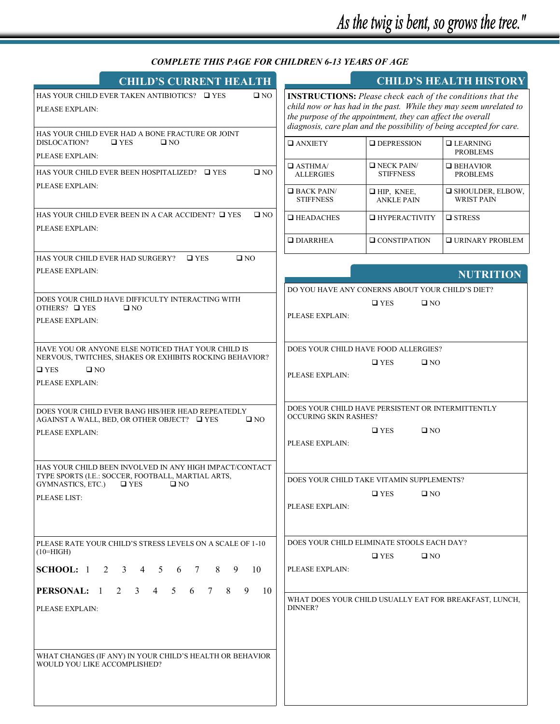## *COMPLETE THIS PAGE FOR CHILDREN 6-13 YEARS OF AGE*

| <b>CHILD'S CURRENT HEALTH</b>                                                                                                                                                            |                                                 |                                                                                                                                                                                                                                                                                | <b>CHILD'S HEALTH HISTORY</b>                |  |
|------------------------------------------------------------------------------------------------------------------------------------------------------------------------------------------|-------------------------------------------------|--------------------------------------------------------------------------------------------------------------------------------------------------------------------------------------------------------------------------------------------------------------------------------|----------------------------------------------|--|
| HAS YOUR CHILD EVER TAKEN ANTIBIOTICS? □ YES<br>$\square$ NO<br>PLEASE EXPLAIN:<br>HAS YOUR CHILD EVER HAD A BONE FRACTURE OR JOINT                                                      |                                                 | <b>INSTRUCTIONS:</b> Please check each of the conditions that the<br>child now or has had in the past. While they may seem unrelated to<br>the purpose of the appointment, they can affect the overall<br>diagnosis, care plan and the possibility of being accepted for care. |                                              |  |
| DISLOCATION?<br>$\square$ YES<br>$\square$ NO<br>PLEASE EXPLAIN:                                                                                                                         | $\Box$ ANXIETY                                  | <b>DEPRESSION</b>                                                                                                                                                                                                                                                              | $\Box$ LEARNING<br><b>PROBLEMS</b>           |  |
| HAS YOUR CHILD EVER BEEN HOSPITALIZED? □ YES<br>$\square$ NO                                                                                                                             | $\Box$ ASTHMA/<br><b>ALLERGIES</b>              | $\Box$ NECK PAIN/<br><b>STIFFNESS</b>                                                                                                                                                                                                                                          | $\Box$ BEHAVIOR<br><b>PROBLEMS</b>           |  |
| PLEASE EXPLAIN:                                                                                                                                                                          | $\Box$ BACK PAIN/<br><b>STIFFNESS</b>           | $\Box$ HIP, KNEE,<br><b>ANKLE PAIN</b>                                                                                                                                                                                                                                         | $\Box$ SHOULDER, ELBOW,<br><b>WRIST PAIN</b> |  |
| HAS YOUR CHILD EVER BEEN IN A CAR ACCIDENT? □ YES<br>$\square$ NO                                                                                                                        | $\Box$ HEADACHES                                | <b>HYPERACTIVITY</b>                                                                                                                                                                                                                                                           | <b>□</b> STRESS                              |  |
| PLEASE EXPLAIN:                                                                                                                                                                          | $\Box$ DIARRHEA                                 | $\Box$ CONSTIPATION                                                                                                                                                                                                                                                            | $\square$ URINARY PROBLEM                    |  |
| $\square$ NO<br>HAS YOUR CHILD EVER HAD SURGERY?<br>$\Box$ YES                                                                                                                           |                                                 |                                                                                                                                                                                                                                                                                |                                              |  |
| PLEASE EXPLAIN:                                                                                                                                                                          |                                                 |                                                                                                                                                                                                                                                                                | <b>NUTRITION</b>                             |  |
|                                                                                                                                                                                          |                                                 | DO YOU HAVE ANY CONERNS ABOUT YOUR CHILD'S DIET?                                                                                                                                                                                                                               |                                              |  |
| DOES YOUR CHILD HAVE DIFFICULTY INTERACTING WITH<br>OTHERS? □ YES<br>$\square$ NO                                                                                                        |                                                 | $\square$ YES<br>$\square$ NO                                                                                                                                                                                                                                                  |                                              |  |
| PLEASE EXPLAIN:                                                                                                                                                                          | PLEASE EXPLAIN:                                 |                                                                                                                                                                                                                                                                                |                                              |  |
|                                                                                                                                                                                          |                                                 |                                                                                                                                                                                                                                                                                |                                              |  |
| HAVE YOU OR ANYONE ELSE NOTICED THAT YOUR CHILD IS<br>NERVOUS, TWITCHES, SHAKES OR EXHIBITS ROCKING BEHAVIOR?<br>$\Box$ YES<br>$\square$ NO<br>PLEASE EXPLAIN:                           | PLEASE EXPLAIN:                                 | DOES YOUR CHILD HAVE FOOD ALLERGIES?<br>$\square$ YES<br>$\square$ NO                                                                                                                                                                                                          |                                              |  |
| DOES YOUR CHILD EVER BANG HIS/HER HEAD REPEATEDLY<br>AGAINST A WALL, BED, OR OTHER OBJECT? □ YES<br>$\square$ NO<br>PLEASE EXPLAIN:                                                      | <b>OCCURING SKIN RASHES?</b><br>PLEASE EXPLAIN: | DOES YOUR CHILD HAVE PERSISTENT OR INTERMITTENTLY<br>$\square$ YES<br>$\square$ NO                                                                                                                                                                                             |                                              |  |
| HAS YOUR CHILD BEEN INVOLVED IN ANY HIGH IMPACT/CONTACT<br>TYPE SPORTS (I.E.: SOCCER, FOOTBALL, MARTIAL ARTS,<br>GYMNASTICS, ETC.)<br>$\sqcup$ YES<br>$\sqcup$ NO<br><b>PLEASE LIST:</b> | PLEASE EXPLAIN:                                 | DOES YOUR CHILD TAKE VITAMIN SUPPLEMENTS?<br>$\square$ YES<br>$\square$ NO                                                                                                                                                                                                     |                                              |  |
| PLEASE RATE YOUR CHILD'S STRESS LEVELS ON A SCALE OF 1-10<br>$(10=HIGH)$                                                                                                                 |                                                 | DOES YOUR CHILD ELIMINATE STOOLS EACH DAY?                                                                                                                                                                                                                                     |                                              |  |
| <b>SCHOOL:</b> $1 \t2 \t3 \t4 \t5$<br>8<br>9<br>6<br>$\overline{7}$<br>- 10                                                                                                              | PLEASE EXPLAIN:                                 | $\square$ YES<br>$\square$ NO                                                                                                                                                                                                                                                  |                                              |  |
| PERSONAL: 1<br>$2 \quad 3$<br>$\overline{4}$<br>5<br>6<br>$7\degree$<br>8<br>10<br>9                                                                                                     |                                                 |                                                                                                                                                                                                                                                                                |                                              |  |
| PLEASE EXPLAIN:                                                                                                                                                                          | DINNER?                                         | WHAT DOES YOUR CHILD USUALLY EAT FOR BREAKFAST, LUNCH,                                                                                                                                                                                                                         |                                              |  |
| WHAT CHANGES (IF ANY) IN YOUR CHILD'S HEALTH OR BEHAVIOR<br>WOULD YOU LIKE ACCOMPLISHED?                                                                                                 |                                                 |                                                                                                                                                                                                                                                                                |                                              |  |